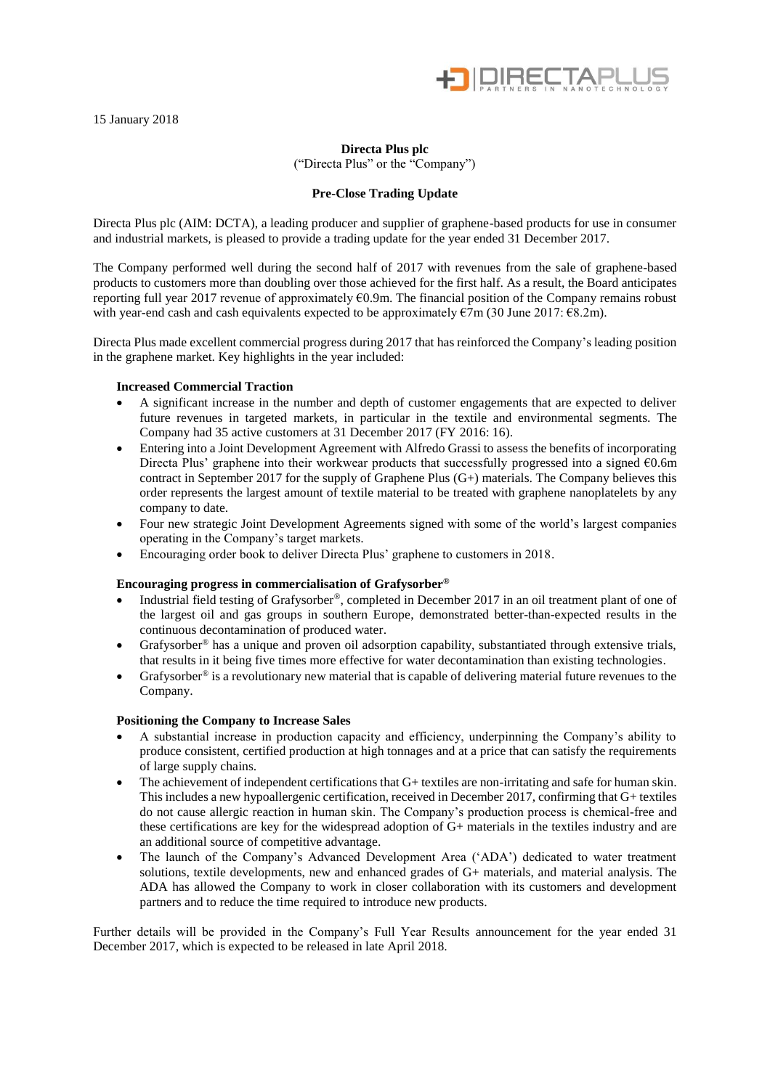

15 January 2018

# **Directa Plus plc**

("Directa Plus" or the "Company")

# **Pre-Close Trading Update**

Directa Plus plc (AIM: DCTA), a leading producer and supplier of graphene-based products for use in consumer and industrial markets, is pleased to provide a trading update for the year ended 31 December 2017.

The Company performed well during the second half of 2017 with revenues from the sale of graphene-based products to customers more than doubling over those achieved for the first half. As a result, the Board anticipates reporting full year 2017 revenue of approximately €0.9m. The financial position of the Company remains robust with year-end cash and cash equivalents expected to be approximately €7m (30 June 2017: €8.2m).

Directa Plus made excellent commercial progress during 2017 that has reinforced the Company's leading position in the graphene market. Key highlights in the year included:

## **Increased Commercial Traction**

- A significant increase in the number and depth of customer engagements that are expected to deliver future revenues in targeted markets, in particular in the textile and environmental segments. The Company had 35 active customers at 31 December 2017 (FY 2016: 16).
- Entering into a Joint Development Agreement with Alfredo Grassi to assess the benefits of incorporating Directa Plus' graphene into their workwear products that successfully progressed into a signed  $\epsilon$ 0.6m contract in September 2017 for the supply of Graphene Plus (G+) materials. The Company believes this order represents the largest amount of textile material to be treated with graphene nanoplatelets by any company to date.
- Four new strategic Joint Development Agreements signed with some of the world's largest companies operating in the Company's target markets.
- Encouraging order book to deliver Directa Plus' graphene to customers in 2018.

### **Encouraging progress in commercialisation of Grafysorber®**

- Industrial field testing of Grafysorber®, completed in December 2017 in an oil treatment plant of one of the largest oil and gas groups in southern Europe, demonstrated better-than-expected results in the continuous decontamination of produced water.
- Grafysorber<sup>®</sup> has a unique and proven oil adsorption capability, substantiated through extensive trials, that results in it being five times more effective for water decontamination than existing technologies.
- Grafysorber<sup>®</sup> is a revolutionary new material that is capable of delivering material future revenues to the Company.

### **Positioning the Company to Increase Sales**

- A substantial increase in production capacity and efficiency, underpinning the Company's ability to produce consistent, certified production at high tonnages and at a price that can satisfy the requirements of large supply chains.
- The achievement of independent certifications that G+ textiles are non-irritating and safe for human skin. This includes a new hypoallergenic certification, received in December 2017, confirming that G+ textiles do not cause allergic reaction in human skin. The Company's production process is chemical-free and these certifications are key for the widespread adoption of G+ materials in the textiles industry and are an additional source of competitive advantage.
- The launch of the Company's Advanced Development Area ('ADA') dedicated to water treatment solutions, textile developments, new and enhanced grades of G+ materials, and material analysis. The ADA has allowed the Company to work in closer collaboration with its customers and development partners and to reduce the time required to introduce new products.

Further details will be provided in the Company's Full Year Results announcement for the year ended 31 December 2017, which is expected to be released in late April 2018.